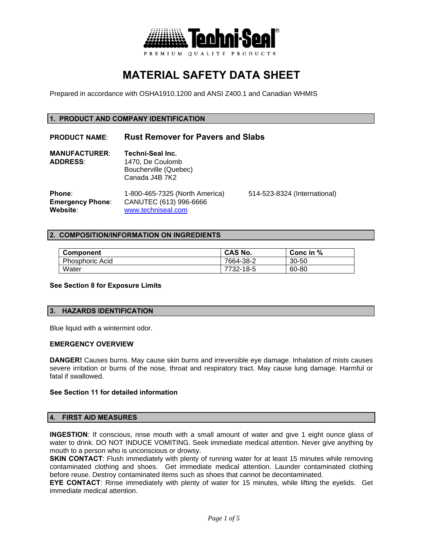

# **MATERIAL SAFETY DATA SHEET**

Prepared in accordance with OSHA1910.1200 and ANSI Z400.1 and Canadian WHMIS

# **1. PRODUCT AND COMPANY IDENTIFICATION**

# **PRODUCT NAME**: **Rust Remover for Pavers and Slabs**

| <b>MANUFACTURER:</b> | Techni-Seal Inc.      |
|----------------------|-----------------------|
| <b>ADDRESS:</b>      | 1470. De Coulomb      |
|                      | Boucherville (Quebec) |
|                      | Canada J4B 7K2        |
|                      |                       |

**Phone**: 1-800-465-7325 (North America) 514-523-8324 (International) **Emergency Phone**: CANUTEC (613) 996-6666 **Website**: www.techniseal.com

#### **2. COMPOSITION/INFORMATION ON INGREDIENTS**

| <b>Component</b>       | <b>CAS No.</b> | Conc in $%$ |
|------------------------|----------------|-------------|
| <b>Phosphoric Acid</b> | 7664-38-2      | $30 - 50$   |
| Water                  | 7732-18-5      | 60-80       |

#### **See Section 8 for Exposure Limits**

## **3. HAZARDS IDENTIFICATION**

Blue liquid with a wintermint odor.

#### **EMERGENCY OVERVIEW**

**DANGER!** Causes burns. May cause skin burns and irreversible eye damage. Inhalation of mists causes severe irritation or burns of the nose, throat and respiratory tract. May cause lung damage. Harmful or fatal if swallowed.

#### **See Section 11 for detailed information**

#### **4. FIRST AID MEASURES**

**INGESTION**: If conscious, rinse mouth with a small amount of water and give 1 eight ounce glass of water to drink. DO NOT INDUCE VOMITING. Seek immediate medical attention. Never give anything by mouth to a person who is unconscious or drowsy.

**SKIN CONTACT**: Flush immediately with plenty of running water for at least 15 minutes while removing contaminated clothing and shoes. Get immediate medical attention. Launder contaminated clothing before reuse. Destroy contaminated items such as shoes that cannot be decontaminated.

**EYE CONTACT**: Rinse immediately with plenty of water for 15 minutes, while lifting the eyelids. Get immediate medical attention.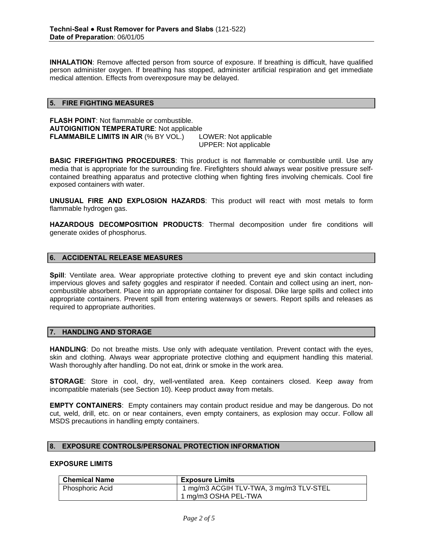**INHALATION**: Remove affected person from source of exposure. If breathing is difficult, have qualified person administer oxygen. If breathing has stopped, administer artificial respiration and get immediate medical attention. Effects from overexposure may be delayed.

## **5. FIRE FIGHTING MEASURES**

**FLASH POINT**: Not flammable or combustible. **AUTOIGNITION TEMPERATURE**: Not applicable **FLAMMABILE LIMITS IN AIR** (% BY VOL.) LOWER: Not applicable UPPER: Not applicable

**BASIC FIREFIGHTING PROCEDURES:** This product is not flammable or combustible until. Use any media that is appropriate for the surrounding fire. Firefighters should always wear positive pressure selfcontained breathing apparatus and protective clothing when fighting fires involving chemicals. Cool fire exposed containers with water.

**UNUSUAL FIRE AND EXPLOSION HAZARDS**: This product will react with most metals to form flammable hydrogen gas.

**HAZARDOUS DECOMPOSITION PRODUCTS**: Thermal decomposition under fire conditions will generate oxides of phosphorus.

# **6. ACCIDENTAL RELEASE MEASURES**

**Spill**: Ventilate area. Wear appropriate protective clothing to prevent eye and skin contact including impervious gloves and safety goggles and respirator if needed. Contain and collect using an inert, noncombustible absorbent. Place into an appropriate container for disposal. Dike large spills and collect into appropriate containers. Prevent spill from entering waterways or sewers. Report spills and releases as required to appropriate authorities.

## **7. HANDLING AND STORAGE**

**HANDLING**: Do not breathe mists. Use only with adequate ventilation. Prevent contact with the eyes, skin and clothing. Always wear appropriate protective clothing and equipment handling this material. Wash thoroughly after handling. Do not eat, drink or smoke in the work area.

**STORAGE**: Store in cool, dry, well-ventilated area. Keep containers closed. Keep away from incompatible materials (see Section 10). Keep product away from metals.

**EMPTY CONTAINERS**: Empty containers may contain product residue and may be dangerous. Do not cut, weld, drill, etc. on or near containers, even empty containers, as explosion may occur. Follow all MSDS precautions in handling empty containers.

## **8. EXPOSURE CONTROLS/PERSONAL PROTECTION INFORMATION**

# **EXPOSURE LIMITS**

| <b>Chemical Name</b>   | <b>Exposure Limits</b>                  |
|------------------------|-----------------------------------------|
| <b>Phosphoric Acid</b> | 1 mg/m3 ACGIH TLV-TWA, 3 mg/m3 TLV-STEL |
|                        | 1 mg/m3 OSHA PEL-TWA                    |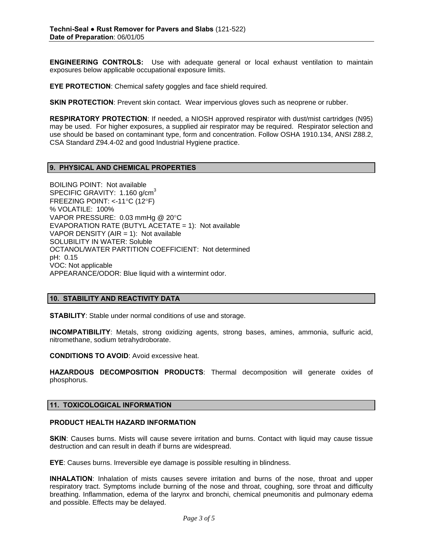**ENGINEERING CONTROLS:** Use with adequate general or local exhaust ventilation to maintain exposures below applicable occupational exposure limits.

**EYE PROTECTION**: Chemical safety goggles and face shield required.

**SKIN PROTECTION**: Prevent skin contact. Wear impervious gloves such as neoprene or rubber.

**RESPIRATORY PROTECTION**: If needed, a NIOSH approved respirator with dust/mist cartridges (N95) may be used. For higher exposures, a supplied air respirator may be required. Respirator selection and use should be based on contaminant type, form and concentration. Follow OSHA 1910.134, ANSI Z88.2, CSA Standard Z94.4-02 and good Industrial Hygiene practice.

## **9. PHYSICAL AND CHEMICAL PROPERTIES**

BOILING POINT: Not available SPECIFIC GRAVITY: 1.160 g/cm<sup>3</sup> FREEZING POINT: <-11°C (12°F) % VOLATILE: 100% VAPOR PRESSURE: 0.03 mmHg @ 20°C EVAPORATION RATE (BUTYL ACETATE = 1): Not available VAPOR DENSITY (AIR  $= 1$ ): Not available SOLUBILITY IN WATER: Soluble OCTANOL/WATER PARTITION COEFFICIENT: Not determined pH: 0.15 VOC: Not applicable APPEARANCE/ODOR: Blue liquid with a wintermint odor.

## **10. STABILITY AND REACTIVITY DATA**

**STABILITY**: Stable under normal conditions of use and storage.

**INCOMPATIBILITY**: Metals, strong oxidizing agents, strong bases, amines, ammonia, sulfuric acid, nitromethane, sodium tetrahydroborate.

**CONDITIONS TO AVOID**: Avoid excessive heat.

**HAZARDOUS DECOMPOSITION PRODUCTS**: Thermal decomposition will generate oxides of phosphorus.

#### **11. TOXICOLOGICAL INFORMATION**

# **PRODUCT HEALTH HAZARD INFORMATION**

**SKIN:** Causes burns. Mists will cause severe irritation and burns. Contact with liquid may cause tissue destruction and can result in death if burns are widespread.

**EYE**: Causes burns. Irreversible eye damage is possible resulting in blindness.

**INHALATION**: Inhalation of mists causes severe irritation and burns of the nose, throat and upper respiratory tract. Symptoms include burning of the nose and throat, coughing, sore throat and difficulty breathing. Inflammation, edema of the larynx and bronchi, chemical pneumonitis and pulmonary edema and possible. Effects may be delayed.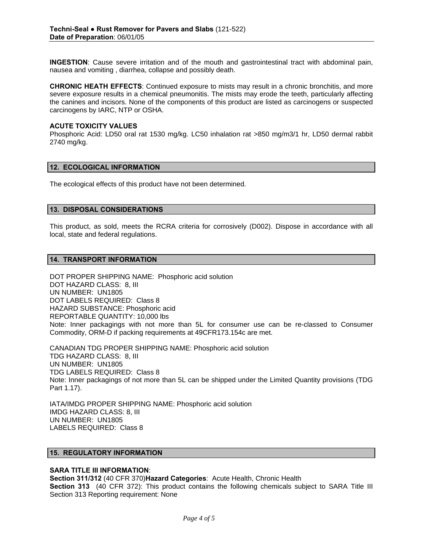**INGESTION**: Cause severe irritation and of the mouth and gastrointestinal tract with abdominal pain, nausea and vomiting , diarrhea, collapse and possibly death.

**CHRONIC HEATH EFFECTS**: Continued exposure to mists may result in a chronic bronchitis, and more severe exposure results in a chemical pneumonitis. The mists may erode the teeth, particularly affecting the canines and incisors. None of the components of this product are listed as carcinogens or suspected carcinogens by IARC, NTP or OSHA.

#### **ACUTE TOXICITY VALUES**

Phosphoric Acid: LD50 oral rat 1530 mg/kg. LC50 inhalation rat >850 mg/m3/1 hr, LD50 dermal rabbit 2740 mg/kg.

## **12. ECOLOGICAL INFORMATION**

The ecological effects of this product have not been determined.

## **13. DISPOSAL CONSIDERATIONS**

This product, as sold, meets the RCRA criteria for corrosively (D002). Dispose in accordance with all local, state and federal regulations.

## **14. TRANSPORT INFORMATION**

DOT PROPER SHIPPING NAME: Phosphoric acid solution DOT HAZARD CLASS: 8, III UN NUMBER: UN1805 DOT LABELS REQUIRED: Class 8 HAZARD SUBSTANCE: Phosphoric acid REPORTABLE QUANTITY: 10,000 lbs Note: Inner packagings with not more than 5L for consumer use can be re-classed to Consumer Commodity, ORM-D if packing requirements at 49CFR173.154c are met.

CANADIAN TDG PROPER SHIPPING NAME: Phosphoric acid solution TDG HAZARD CLASS: 8, III UN NUMBER: UN1805 TDG LABELS REQUIRED: Class 8 Note: Inner packagings of not more than 5L can be shipped under the Limited Quantity provisions (TDG Part 1.17).

IATA/IMDG PROPER SHIPPING NAME: Phosphoric acid solution IMDG HAZARD CLASS: 8, III UN NUMBER: UN1805 LABELS REQUIRED: Class 8

# **15. REGULATORY INFORMATION**

#### **SARA TITLE III INFORMATION**:

**Section 311/312** (40 CFR 370)**Hazard Categories**: Acute Health, Chronic Health

**Section 313** (40 CFR 372): This product contains the following chemicals subject to SARA Title III Section 313 Reporting requirement: None